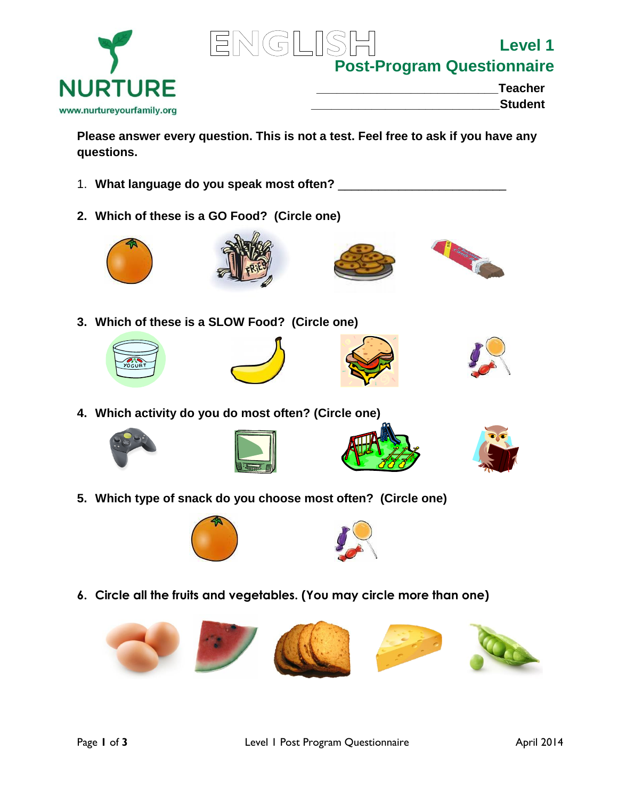



**Post-Program Questionnaire**

**Level 1** 

| <b>Teacher</b> |
|----------------|
| <b>Student</b> |
|                |

**Please answer every question. This is not a test. Feel free to ask if you have any questions.**

- 1. **What language do you speak most often?** \_\_\_\_\_\_\_\_\_\_\_\_\_\_\_\_\_\_\_\_\_\_\_\_\_
- **2. Which of these is a GO Food? (Circle one)**









**3. Which of these is a SLOW Food? (Circle one)**









**4. Which activity do you do most often? (Circle one)**









**5. Which type of snack do you choose most often? (Circle one)**





**6. Circle all the fruits and vegetables. (You may circle more than one)**

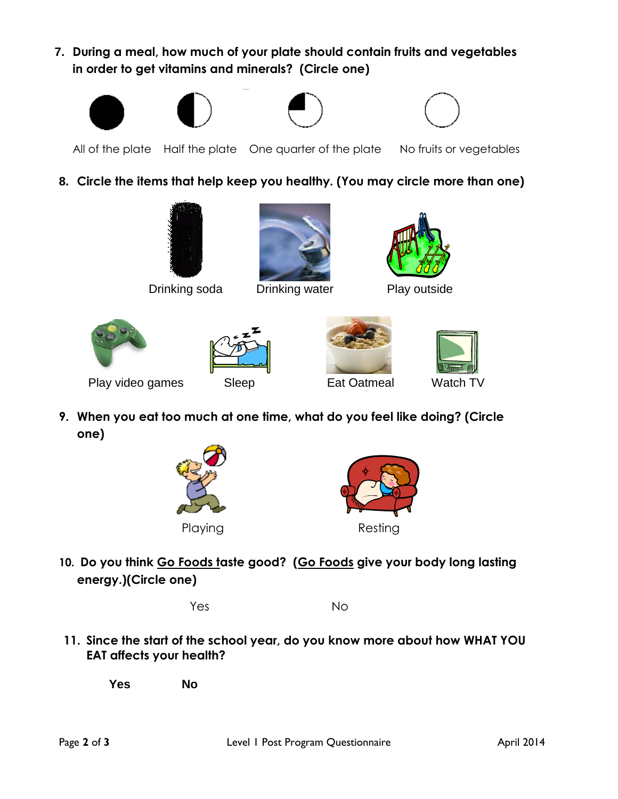**7. During a meal, how much of your plate should contain fruits and vegetables in order to get vitamins and minerals? (Circle one)**









All of the plate Half the plate One quarter of the plate No fruits or vegetables

## **8. Circle the items that help keep you healthy. (You may circle more than one)**



**Drinking soda** Drinking water Play outside











Play video games Sleep Eat Oatmeal Watch TV

**9. When you eat too much at one time, what do you feel like doing? (Circle one)**





**10. Do you think Go Foods taste good? (Go Foods give your body long lasting energy.)(Circle one)** 

Yes No

**11. Since the start of the school year, do you know more about how WHAT YOU EAT affects your health?**

**Yes No**